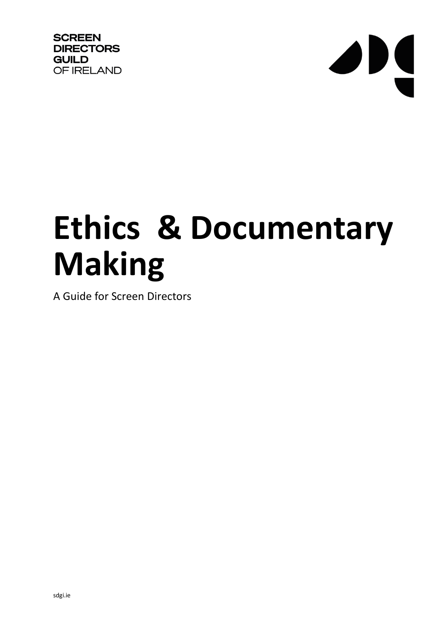**SCREEN DIRECTORS GUILD** OF IRELAND



# **Ethics & Documentary Making**

A Guide for Screen Directors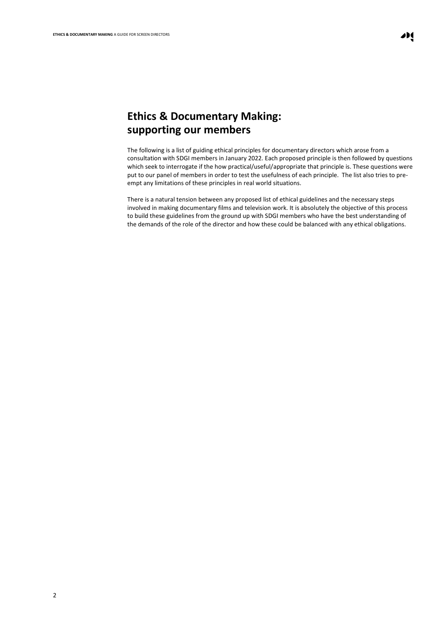## **Ethics & Documentary Making: supporting our members**

The following is a list of guiding ethical principles for documentary directors which arose from a consultation with SDGI members in January 2022. Each proposed principle is then followed by questions which seek to interrogate if the how practical/useful/appropriate that principle is. These questions were put to our panel of members in order to test the usefulness of each principle. The list also tries to preempt any limitations of these principles in real world situations.

There is a natural tension between any proposed list of ethical guidelines and the necessary steps involved in making documentary films and television work. It is absolutely the objective of this process to build these guidelines from the ground up with SDGI members who have the best understanding of the demands of the role of the director and how these could be balanced with any ethical obligations.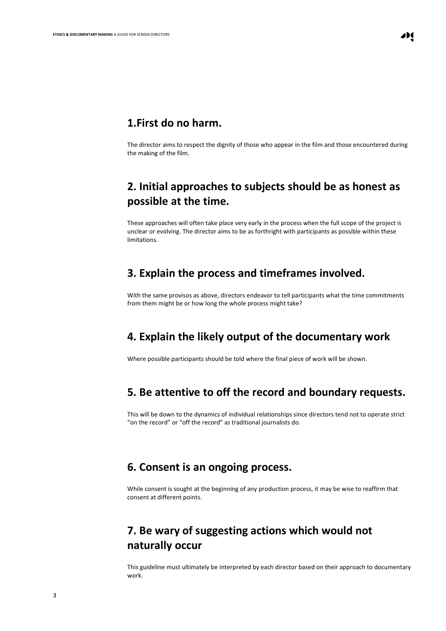#### **1.First do no harm.**

The director aims to respect the dignity of those who appear in the film and those encountered during the making of the film.

## **2. Initial approaches to subjects should be as honest as possible at the time.**

These approaches will often take place very early in the process when the full scope of the project is unclear or evolving. The director aims to be as forthright with participants as possible within these limitations.

#### **3. Explain the process and timeframes involved.**

With the same provisos as above, directors endeavor to tell participants what the time commitments from them might be or how long the whole process might take?

#### **4. Explain the likely output of the documentary work**

Where possible participants should be told where the final piece of work will be shown.

#### **5. Be attentive to off the record and boundary requests.**

This will be down to the dynamics of individual relationships since directors tend not to operate strict "on the record" or "off the record" as traditional journalists do.

#### **6. Consent is an ongoing process.**

While consent is sought at the beginning of any production process, it may be wise to reaffirm that consent at different points.

## **7. Be wary of suggesting actions which would not naturally occur**

This guideline must ultimately be interpreted by each director based on their approach to documentary work.